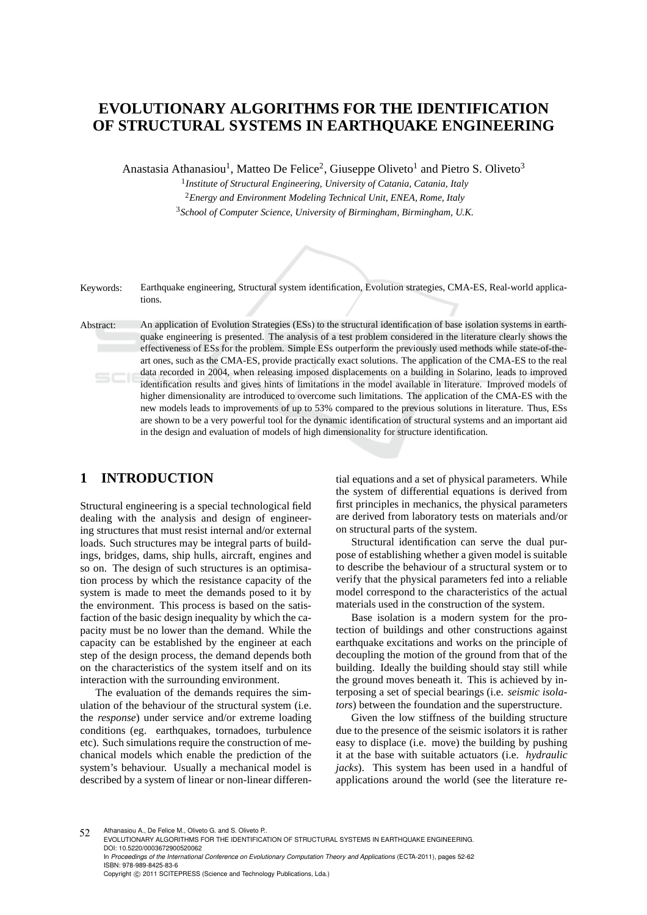# **EVOLUTIONARY ALGORITHMS FOR THE IDENTIFICATION OF STRUCTURAL SYSTEMS IN EARTHQUAKE ENGINEERING**

Anastasia Athanasiou<sup>1</sup>, Matteo De Felice<sup>2</sup>, Giuseppe Oliveto<sup>1</sup> and Pietro S. Oliveto<sup>3</sup>

1 *Institute of Structural Engineering, University of Catania, Catania, Italy* <sup>2</sup>*Energy and Environment Modeling Technical Unit, ENEA, Rome, Italy* <sup>3</sup>*School of Computer Science, University of Birmingham, Birmingham, U.K.*

Keywords: Earthquake engineering, Structural system identification, Evolution strategies, CMA-ES, Real-world applications.

Abstract: An application of Evolution Strategies (ESs) to the structural identification of base isolation systems in earthquake engineering is presented. The analysis of a test problem considered in the literature clearly shows the effectiveness of ESs for the problem. Simple ESs outperform the previously used methods while state-of-theart ones, such as the CMA-ES, provide practically exact solutions. The application of the CMA-ES to the real data recorded in 2004, when releasing imposed displacements on a building in Solarino, leads to improved identification results and gives hints of limitations in the model available in literature. Improved models of higher dimensionality are introduced to overcome such limitations. The application of the CMA-ES with the new models leads to improvements of up to 53% compared to the previous solutions in literature. Thus, ESs are shown to be a very powerful tool for the dynamic identification of structural systems and an important aid in the design and evaluation of models of high dimensionality for structure identification.

## **1 INTRODUCTION**

Structural engineering is a special technological field dealing with the analysis and design of engineering structures that must resist internal and/or external loads. Such structures may be integral parts of buildings, bridges, dams, ship hulls, aircraft, engines and so on. The design of such structures is an optimisation process by which the resistance capacity of the system is made to meet the demands posed to it by the environment. This process is based on the satisfaction of the basic design inequality by which the capacity must be no lower than the demand. While the capacity can be established by the engineer at each step of the design process, the demand depends both on the characteristics of the system itself and on its interaction with the surrounding environment.

The evaluation of the demands requires the simulation of the behaviour of the structural system (i.e. the *response*) under service and/or extreme loading conditions (eg. earthquakes, tornadoes, turbulence etc). Such simulations require the construction of mechanical models which enable the prediction of the system's behaviour. Usually a mechanical model is described by a system of linear or non-linear differential equations and a set of physical parameters. While the system of differential equations is derived from first principles in mechanics, the physical parameters are derived from laboratory tests on materials and/or on structural parts of the system.

Structural identification can serve the dual purpose of establishing whether a given model is suitable to describe the behaviour of a structural system or to verify that the physical parameters fed into a reliable model correspond to the characteristics of the actual materials used in the construction of the system.

Base isolation is a modern system for the protection of buildings and other constructions against earthquake excitations and works on the principle of decoupling the motion of the ground from that of the building. Ideally the building should stay still while the ground moves beneath it. This is achieved by interposing a set of special bearings (i.e. *seismic isolators*) between the foundation and the superstructure.

Given the low stiffness of the building structure due to the presence of the seismic isolators it is rather easy to displace (i.e. move) the building by pushing it at the base with suitable actuators (i.e. *hydraulic jacks*). This system has been used in a handful of applications around the world (see the literature re-

<sup>52</sup> Athanasiou A., De Felice M., Oliveto G. and S. Oliveto P.. EVOLUTIONARY ALGORITHMS FOR THE IDENTIFICATION OF STRUCTURAL SYSTEMS IN EARTHQUAKE ENGINEERING. DOI: 10.5220/0003672900520062

In *Proceedings of the International Conference on Evolutionary Computation Theory and Applications* (ECTA-2011), pages 52-62 ISBN: 978-989-8425-83-6 Copyright © 2011 SCITEPRESS (Science and Technology Publications, Lda.)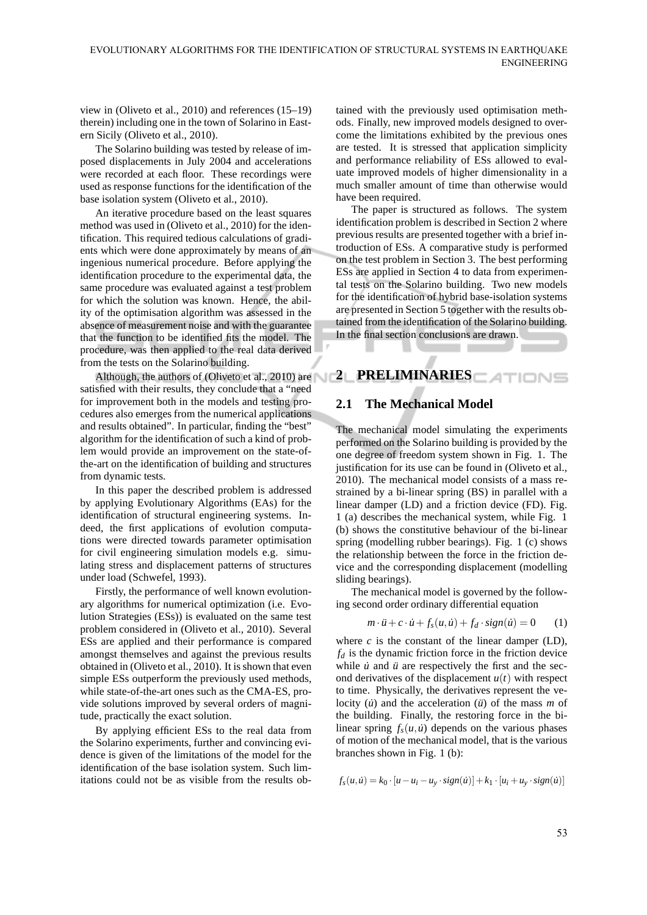view in (Oliveto et al., 2010) and references (15–19) therein) including one in the town of Solarino in Eastern Sicily (Oliveto et al., 2010).

The Solarino building was tested by release of imposed displacements in July 2004 and accelerations were recorded at each floor. These recordings were used as response functions for the identification of the base isolation system (Oliveto et al., 2010).

An iterative procedure based on the least squares method was used in (Oliveto et al., 2010) for the identification. This required tedious calculations of gradients which were done approximately by means of an ingenious numerical procedure. Before applying the identification procedure to the experimental data, the same procedure was evaluated against a test problem for which the solution was known. Hence, the ability of the optimisation algorithm was assessed in the absence of measurement noise and with the guarantee that the function to be identified fits the model. The procedure, was then applied to the real data derived from the tests on the Solarino building.

Although, the authors of (Oliveto et al., 2010) are **2 PRELIMINARIES** satisfied with their results, they conclude that a "need for improvement both in the models and testing procedures also emerges from the numerical applications and results obtained". In particular, finding the "best" algorithm for the identification of such a kind of problem would provide an improvement on the state-ofthe-art on the identification of building and structures from dynamic tests.

In this paper the described problem is addressed by applying Evolutionary Algorithms (EAs) for the identification of structural engineering systems. Indeed, the first applications of evolution computations were directed towards parameter optimisation for civil engineering simulation models e.g. simulating stress and displacement patterns of structures under load (Schwefel, 1993).

Firstly, the performance of well known evolutionary algorithms for numerical optimization (i.e. Evolution Strategies (ESs)) is evaluated on the same test problem considered in (Oliveto et al., 2010). Several ESs are applied and their performance is compared amongst themselves and against the previous results obtained in (Oliveto et al., 2010). It is shown that even simple ESs outperform the previously used methods, while state-of-the-art ones such as the CMA-ES, provide solutions improved by several orders of magnitude, practically the exact solution.

By applying efficient ESs to the real data from the Solarino experiments, further and convincing evidence is given of the limitations of the model for the identification of the base isolation system. Such limitations could not be as visible from the results obtained with the previously used optimisation methods. Finally, new improved models designed to overcome the limitations exhibited by the previous ones are tested. It is stressed that application simplicity and performance reliability of ESs allowed to evaluate improved models of higher dimensionality in a much smaller amount of time than otherwise would have been required.

The paper is structured as follows. The system identification problem is described in Section 2 where previous results are presented together with a brief introduction of ESs. A comparative study is performed on the test problem in Section 3. The best performing ESs are applied in Section 4 to data from experimental tests on the Solarino building. Two new models for the identification of hybrid base-isolation systems are presented in Section 5 together with the results obtained from the identification of the Solarino building. In the final section conclusions are drawn.

**Contract Contract** 

## **2.1 The Mechanical Model**

The mechanical model simulating the experiments performed on the Solarino building is provided by the one degree of freedom system shown in Fig. 1. The justification for its use can be found in (Oliveto et al., 2010). The mechanical model consists of a mass restrained by a bi-linear spring (BS) in parallel with a linear damper (LD) and a friction device (FD). Fig. 1 (a) describes the mechanical system, while Fig. 1 (b) shows the constitutive behaviour of the bi-linear spring (modelling rubber bearings). Fig. 1 (c) shows the relationship between the force in the friction device and the corresponding displacement (modelling sliding bearings).

The mechanical model is governed by the following second order ordinary differential equation

$$
m \cdot \ddot{u} + c \cdot \dot{u} + f_s(u, \dot{u}) + f_d \cdot sign(\dot{u}) = 0 \qquad (1)
$$

where  $c$  is the constant of the linear damper  $(LD)$ ,  $f_d$  is the dynamic friction force in the friction device while  $\dot{u}$  and  $\ddot{u}$  are respectively the first and the second derivatives of the displacement  $u(t)$  with respect to time. Physically, the derivatives represent the velocity  $(\dot{u})$  and the acceleration  $(\ddot{u})$  of the mass *m* of the building. Finally, the restoring force in the bilinear spring  $f_s(u, \dot{u})$  depends on the various phases of motion of the mechanical model, that is the various branches shown in Fig. 1 (b):

$$
f_s(u, \dot{u}) = k_0 \cdot [u - u_i - u_y \cdot sign(\dot{u})] + k_1 \cdot [u_i + u_y \cdot sign(\dot{u})]
$$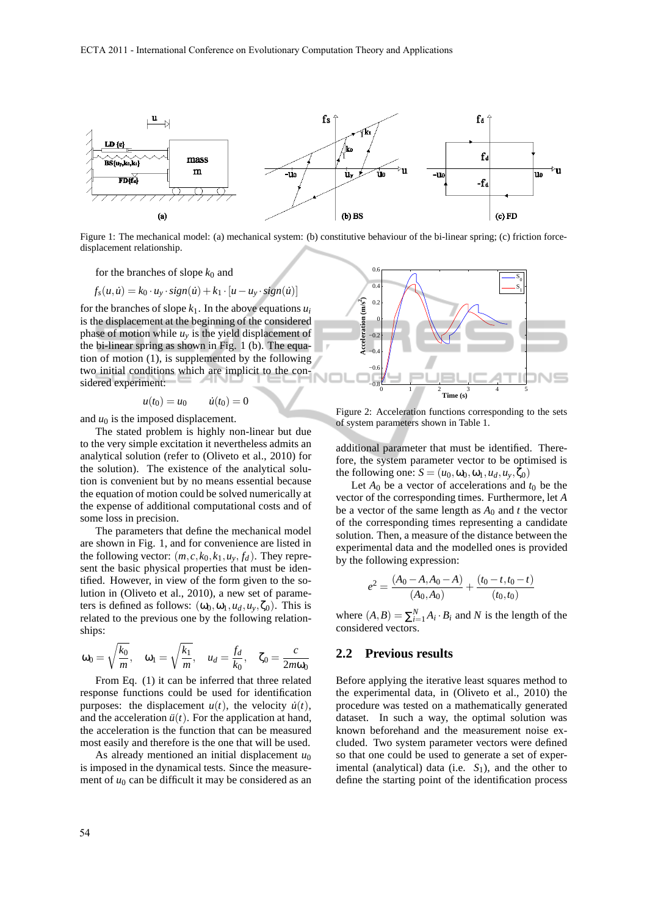

Figure 1: The mechanical model: (a) mechanical system: (b) constitutive behaviour of the bi-linear spring; (c) friction forcedisplacement relationship.

for the branches of slope  $k_0$  and

$$
f_s(u, \dot{u}) = k_0 \cdot u_y \cdot sign(\dot{u}) + k_1 \cdot [u - u_y \cdot sign(\dot{u})]
$$

for the branches of slope  $k_1$ . In the above equations  $u_i$ is the displacement at the beginning of the considered phase of motion while  $u<sub>y</sub>$  is the yield displacement of the bi-linear spring as shown in Fig. 1 (b). The equation of motion (1), is supplemented by the following two initial conditions which are implicit to the considered experiment:

$$
u(t_0) = u_0 \qquad \dot{u}(t_0) = 0
$$

and  $u_0$  is the imposed displacement.

The stated problem is highly non-linear but due to the very simple excitation it nevertheless admits an analytical solution (refer to (Oliveto et al., 2010) for the solution). The existence of the analytical solution is convenient but by no means essential because the equation of motion could be solved numerically at the expense of additional computational costs and of some loss in precision.

The parameters that define the mechanical model are shown in Fig. 1, and for convenience are listed in the following vector:  $(m, c, k_0, k_1, u_y, f_d)$ . They represent the basic physical properties that must be identified. However, in view of the form given to the solution in (Oliveto et al., 2010), a new set of parameters is defined as follows:  $(\omega_0, \omega_1, u_d, u_v, \zeta_0)$ . This is related to the previous one by the following relationships:

$$
\omega_0 = \sqrt{\frac{k_0}{m}}, \quad \omega_1 = \sqrt{\frac{k_1}{m}}, \quad u_d = \frac{f_d}{k_0}, \quad \zeta_0 = \frac{c}{2m\omega_0}
$$

From Eq. (1) it can be inferred that three related response functions could be used for identification purposes: the displacement  $u(t)$ , the velocity  $\dot{u}(t)$ , and the acceleration  $\ddot{u}(t)$ . For the application at hand, the acceleration is the function that can be measured most easily and therefore is the one that will be used.

As already mentioned an initial displacement *u*<sup>0</sup> is imposed in the dynamical tests. Since the measurement of  $u_0$  can be difficult it may be considered as an



Figure 2: Acceleration functions corresponding to the sets of system parameters shown in Table 1.

additional parameter that must be identified. Therefore, the system parameter vector to be optimised is the following one:  $S = (u_0, \omega_0, \omega_1, u_d, u_y, \zeta_0)$ 

Let  $A_0$  be a vector of accelerations and  $t_0$  be the vector of the corresponding times. Furthermore, let *A* be a vector of the same length as  $A_0$  and  $t$  the vector of the corresponding times representing a candidate solution. Then, a measure of the distance between the experimental data and the modelled ones is provided by the following expression:

$$
e^{2} = \frac{(A_{0} - A, A_{0} - A)}{(A_{0}, A_{0})} + \frac{(t_{0} - t, t_{0} - t)}{(t_{0}, t_{0})}
$$

where  $(A, B) = \sum_{i=1}^{N} A_i \cdot B_i$  and *N* is the length of the considered vectors.

#### **2.2 Previous results**

Before applying the iterative least squares method to the experimental data, in (Oliveto et al., 2010) the procedure was tested on a mathematically generated dataset. In such a way, the optimal solution was known beforehand and the measurement noise excluded. Two system parameter vectors were defined so that one could be used to generate a set of experimental (analytical) data (i.e.  $S_1$ ), and the other to define the starting point of the identification process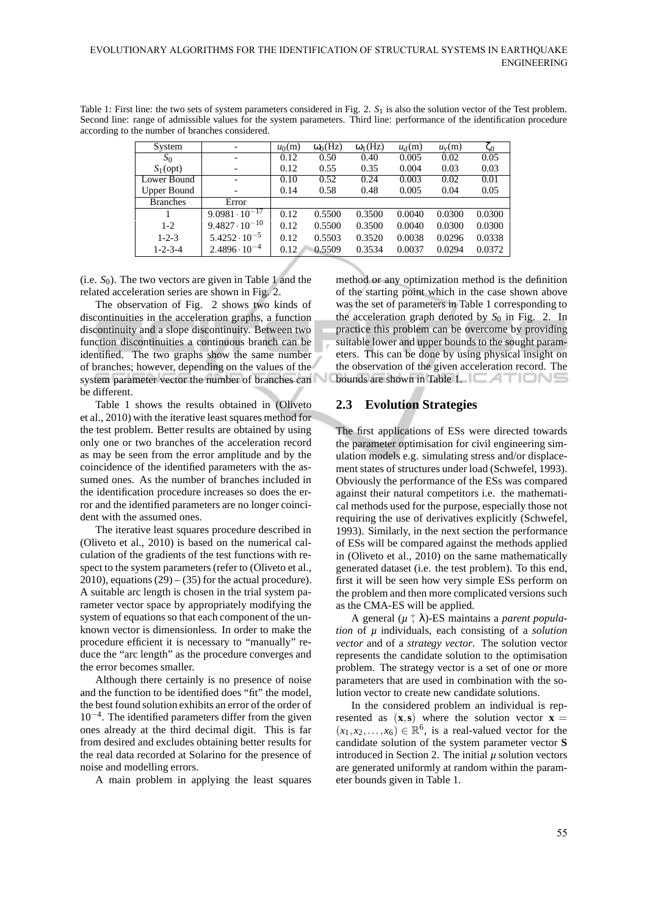Table 1: First line: the two sets of system parameters considered in Fig. 2.  $S_1$  is also the solution vector of the Test problem. Second line: range of admissible values for the system parameters. Third line: performance of the identification procedure according to the number of branches considered.

| System             |                         | $u_0(m)$ | $\omega_0(Hz)$ | $\omega_1(Hz)$ | $u_d(m)$ | $u_{v}(m)$ | 50     |
|--------------------|-------------------------|----------|----------------|----------------|----------|------------|--------|
| $S_0$              |                         | 0.12     | 0.50           | 0.40           | 0.005    | 0.02       | 0.05   |
| $S_1$ (opt)        |                         | 0.12     | 0.55           | 0.35           | 0.004    | 0.03       | 0.03   |
| Lower Bound        |                         | 0.10     | 0.52           | 0.24           | 0.003    | 0.02       | 0.01   |
| <b>Upper Bound</b> |                         |          | 0.58           | 0.48           | 0.005    | 0.04       | 0.05   |
| <b>Branches</b>    | Error                   |          |                |                |          |            |        |
|                    | $9.0981 \cdot 10^{-17}$ | 0.12     | 0.5500         | 0.3500         | 0.0040   | 0.0300     | 0.0300 |
| $1 - 2$            | $9.4827 \cdot 10^{-10}$ | 0.12     | 0.5500         | 0.3500         | 0.0040   | 0.0300     | 0.0300 |
| $1 - 2 - 3$        | $5.4252 \cdot 10^{-5}$  | 0.12     | 0.5503         | 0.3520         | 0.0038   | 0.0296     | 0.0338 |
| $1 - 2 - 3 - 4$    | $2.4896 \cdot 10^{-4}$  | 0.12     | 0.5509         | 0.3534         | 0.0037   | 0.0294     | 0.0372 |

(i.e.  $S_0$ ). The two vectors are given in Table 1 and the related acceleration series are shown in Fig. 2.

The observation of Fig. 2 shows two kinds of discontinuities in the acceleration graphs, a function discontinuity and a slope discontinuity. Between two function discontinuities a continuous branch can be identified. The two graphs show the same number of branches; however, depending on the values of the system parameter vector the number of branches can be different.

Table 1 shows the results obtained in (Oliveto et al., 2010) with the iterative least squares method for the test problem. Better results are obtained by using only one or two branches of the acceleration record as may be seen from the error amplitude and by the coincidence of the identified parameters with the assumed ones. As the number of branches included in the identification procedure increases so does the error and the identified parameters are no longer coincident with the assumed ones.

The iterative least squares procedure described in (Oliveto et al., 2010) is based on the numerical calculation of the gradients of the test functions with respect to the system parameters (refer to (Oliveto et al.,  $2010$ ), equations  $(29) - (35)$  for the actual procedure). A suitable arc length is chosen in the trial system parameter vector space by appropriately modifying the system of equations so that each component of the unknown vector is dimensionless. In order to make the procedure efficient it is necessary to "manually" reduce the "arc length" as the procedure converges and the error becomes smaller.

Although there certainly is no presence of noise and the function to be identified does "fit" the model, the best found solution exhibits an error of the order of 10−<sup>4</sup> . The identified parameters differ from the given ones already at the third decimal digit. This is far from desired and excludes obtaining better results for the real data recorded at Solarino for the presence of noise and modelling errors.

A main problem in applying the least squares

method or any optimization method is the definition of the starting point which in the case shown above was the set of parameters in Table 1 corresponding to the acceleration graph denoted by  $S_0$  in Fig. 2. In practice this problem can be overcome by providing suitable lower and upper bounds to the sought parameters. This can be done by using physical insight on the observation of the given acceleration record. The bounds are shown in Table 1.  $\Box$   $\Box$ 

#### **2.3 Evolution Strategies**

The first applications of ESs were directed towards the parameter optimisation for civil engineering simulation models e.g. simulating stress and/or displacement states of structures under load (Schwefel, 1993). Obviously the performance of the ESs was compared against their natural competitors i.e. the mathematical methods used for the purpose, especially those not requiring the use of derivatives explicitly (Schwefel, 1993). Similarly, in the next section the performance of ESs will be compared against the methods applied in (Oliveto et al., 2010) on the same mathematically generated dataset (i.e. the test problem). To this end, first it will be seen how very simple ESs perform on the problem and then more complicated versions such as the CMA-ES will be applied.

A general  $(\mu + \lambda)$ -ES maintains a *parent population* of *µ* individuals, each consisting of a *solution vector* and of a *strategy vector*. The solution vector represents the candidate solution to the optimisation problem. The strategy vector is a set of one or more parameters that are used in combination with the solution vector to create new candidate solutions.

In the considered problem an individual is represented as  $(x, s)$  where the solution vector  $x =$  $(x_1, x_2,...,x_6) \in \mathbb{R}^6$ , is a real-valued vector for the candidate solution of the system parameter vector **S** introduced in Section 2. The initial  $\mu$  solution vectors are generated uniformly at random within the parameter bounds given in Table 1.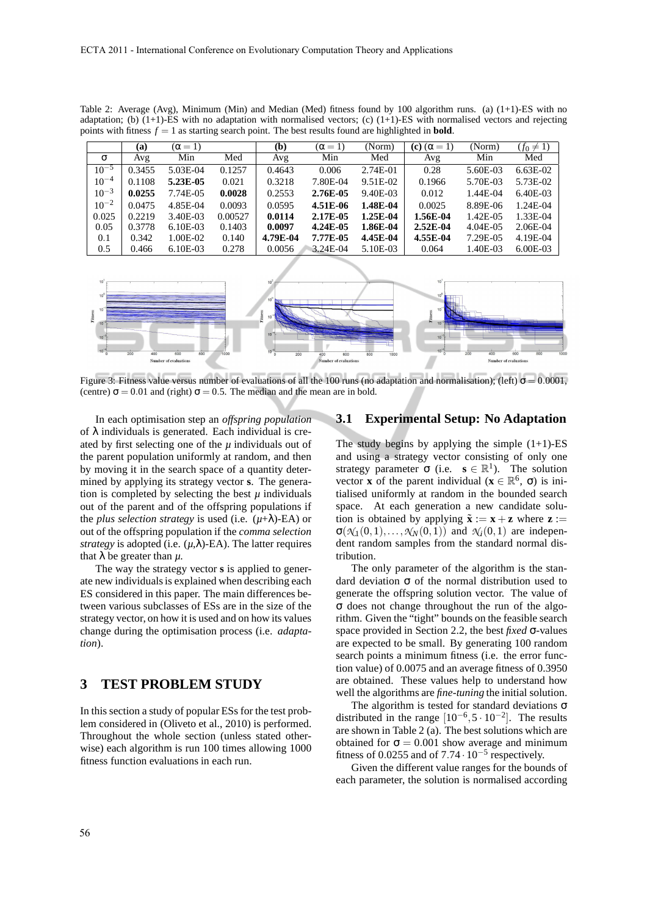|           | (a)    | $(\alpha = 1)$ |         | (b)      | $(\alpha = 1)$ | (Norm)   | (c) $(\alpha = 1)$ | (Norm)   | $(f_0 \neq 1)$ |
|-----------|--------|----------------|---------|----------|----------------|----------|--------------------|----------|----------------|
| σ         | Avg    | Min            | Med     | Avg      | Min            | Med      | Avg                | Min      | Med            |
| $10^{-5}$ | 0.3455 | 5.03E-04       | 0.1257  | 0.4643   | 0.006          | 2.74E-01 | 0.28               | 5.60E-03 | $6.63E-02$     |
| $10^{-4}$ | 0.1108 | 5.23E-05       | 0.021   | 0.3218   | 7.80E-04       | 9.51E-02 | 0.1966             | 5.70E-03 | 5.73E-02       |
| $10^{-3}$ | 0.0255 | 7.74E-05       | 0.0028  | 0.2553   | 2.76E-05       | 9.40E-03 | 0.012              | 1.44E-04 | $6.40E-03$     |
| $10^{-2}$ | 0.0475 | 4.85E-04       | 0.0093  | 0.0595   | 4.51E-06       | 1.48E-04 | 0.0025             | 8.89E-06 | 1.24E-04       |
| 0.025     | 0.2219 | 3.40E-03       | 0.00527 | 0.0114   | 2.17E-05       | 1.25E-04 | 1.56E-04           | 1.42E-05 | 1.33E-04       |
| 0.05      | 0.3778 | $6.10E-03$     | 0.1403  | 0.0097   | 4.24E-05       | 1.86E-04 | $2.52E-04$         | 4.04E-05 | 2.06E-04       |
| 0.1       | 0.342  | 1.00E-02       | 0.140   | 4.79E-04 | 7.77E-05       | 4.45E-04 | 4.55E-04           | 7.29E-05 | 4.19E-04       |
| 0.5       | 0.466  | 6.10E-03       | 0.278   | 0.0056   | 3.24E-04       | 5.10E-03 | 0.064              | 1.40E-03 | $6.00E-03$     |

Table 2: Average (Avg), Minimum (Min) and Median (Med) fitness found by 100 algorithm runs. (a) (1+1)-ES with no adaptation; (b)  $(1+1)$ -ES with no adaptation with normalised vectors; (c)  $(1+1)$ -ES with normalised vectors and rejecting points with fitness  $f = 1$  as starting search point. The best results found are highlighted in **bold**.



Figure 3: Fitness value versus number of evaluations of all the 100 runs (no adaptation and normalisation); (left)  $\sigma = 0.0001$ , (centre)  $\sigma = 0.01$  and (right)  $\sigma = 0.5$ . The median and the mean are in bold.

In each optimisation step an *offspring population* of  $\lambda$  individuals is generated. Each individual is created by first selecting one of the  $\mu$  individuals out of the parent population uniformly at random, and then by moving it in the search space of a quantity determined by applying its strategy vector **s**. The generation is completed by selecting the best  $\mu$  individuals out of the parent and of the offspring populations if the *plus selection strategy* is used (i.e. (*µ*+λ)-EA) or out of the offspring population if the *comma selection strategy* is adopted (i.e.  $(\mu, \lambda)$ -EA). The latter requires that  $\lambda$  be greater than  $\mu$ .

The way the strategy vector **s** is applied to generate new individuals is explained when describing each ES considered in this paper. The main differences between various subclasses of ESs are in the size of the strategy vector, on how it is used and on how its values change during the optimisation process (i.e. *adaptation*).

# **3 TEST PROBLEM STUDY**

In this section a study of popular ESs for the test problem considered in (Oliveto et al., 2010) is performed. Throughout the whole section (unless stated otherwise) each algorithm is run 100 times allowing 1000 fitness function evaluations in each run.

#### **3.1 Experimental Setup: No Adaptation**

The study begins by applying the simple  $(1+1)$ -ES and using a strategy vector consisting of only one strategy parameter  $\sigma$  (i.e.  $\mathbf{s} \in \mathbb{R}^1$ ). The solution vector **x** of the parent individual ( $\mathbf{x} \in \mathbb{R}^6$ ,  $\sigma$ ) is initialised uniformly at random in the bounded search space. At each generation a new candidate solution is obtained by applying  $\tilde{\mathbf{x}} := \mathbf{x} + \mathbf{z}$  where  $\mathbf{z} :=$  $\sigma(\mathcal{N}_1(0,1),\ldots,\mathcal{N}_N(0,1))$  and  $\mathcal{N}_i(0,1)$  are independent random samples from the standard normal distribution.

The only parameter of the algorithm is the standard deviation σ of the normal distribution used to generate the offspring solution vector. The value of σ does not change throughout the run of the algorithm. Given the "tight" bounds on the feasible search space provided in Section 2.2, the best *fixed* σ-values are expected to be small. By generating 100 random search points a minimum fitness (i.e. the error function value) of 0.0075 and an average fitness of 0.3950 are obtained. These values help to understand how well the algorithms are *fine-tuning* the initial solution.

The algorithm is tested for standard deviations  $\sigma$ distributed in the range  $[10^{-6}, 5 \cdot 10^{-2}]$ . The results are shown in Table  $2(a)$ . The best solutions which are obtained for  $\sigma = 0.001$  show average and minimum fitness of 0.0255 and of  $7.74 \cdot 10^{-5}$  respectively.

Given the different value ranges for the bounds of each parameter, the solution is normalised according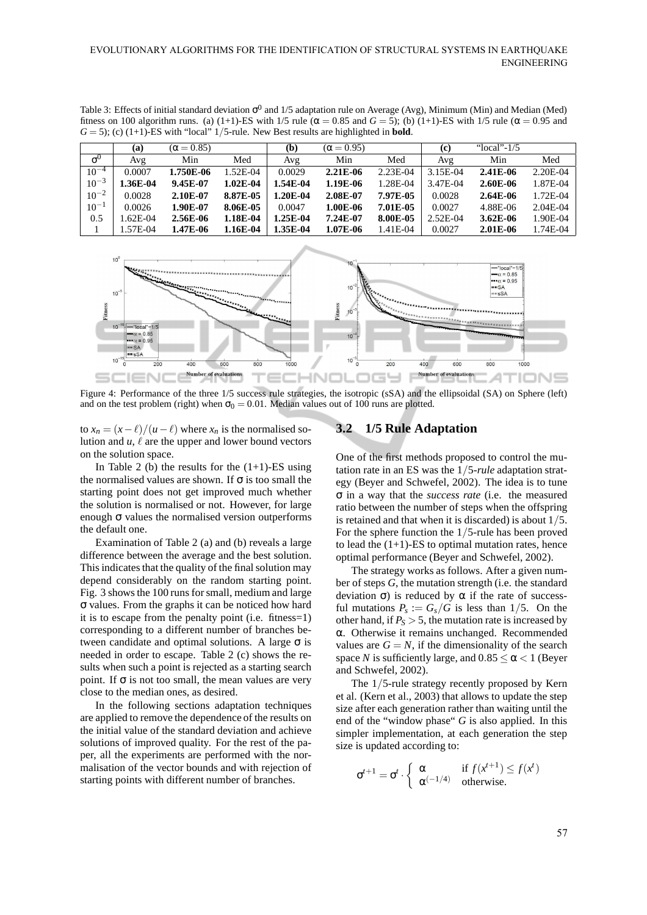Table 3: Effects of initial standard deviation  $\sigma^0$  and 1/5 adaptation rule on Average (Avg), Minimum (Min) and Median (Med) fitness on 100 algorithm runs. (a) (1+1)-ES with 1/5 rule ( $\alpha$  = 0.85 and *G* = 5); (b) (1+1)-ES with 1/5 rule ( $\alpha$  = 0.95 and  $G = 5$ ); (c) (1+1)-ES with "local" 1/5-rule. New Best results are highlighted in **bold**.

|            | (a)       | $(\alpha = 0.85)$ |            | (b)      | $(\alpha = 0.95)$ |            | (C)      | " $local$ "- $1/5$ |            |
|------------|-----------|-------------------|------------|----------|-------------------|------------|----------|--------------------|------------|
| $\sigma^0$ | Avg       | Min               | Med        | Avg      | Min               | Med        | Avg      | Min                | Med        |
| $10^{-4}$  | 0.0007    | 1.750E-06         | $.52E-04$  | 0.0029   | $2.21E-06$        | $2.23E-04$ | 3.15E-04 | $2.41E-06$         | 2.20E-04   |
| $10^{-3}$  | .36E-04   | 9.45E-07          | $1.02E-04$ | 1.54E-04 | 1.19E-06          | 1.28E-04   | 3.47E-04 | 2.60E-06           | 1.87E-04   |
| $10^{-2}$  | 0.0028    | 2.10E-07          | 8.87E-05   | 1.20E-04 | 2.08E-07          | 7.97E-05   | 0.0028   | $2.64E-06$         | 1.72E-04   |
| $10^{-1}$  | 0.0026    | 1.90E-07          | 8.06E-05   | 0.0047   | 1.00E-06          | 7.01E-05   | 0.0027   | 4.88E-06           | $2.04E-04$ |
| 0.5        | $.62E-04$ | 2.56E-06          | 1.18E-04   | 1.25E-04 | 7.24E-07          | 8.00E-05   | 2.52E-04 | $3.62E - 06$       | 1.90E-04   |
|            | .57E-04   | 1.47E-06          | 1.16E-04   | 1.35E-04 | 1.07E-06          | 1.41E-04   | 0.0027   | $2.01E-06$         | 1.74E-04   |



Figure 4: Performance of the three 1/5 success rule strategies, the isotropic (sSA) and the ellipsoidal (SA) on Sphere (left) and on the test problem (right) when  $\sigma_0 = 0.01$ . Median values out of 100 runs are plotted.

to  $x_n = (x - \ell)/(u - \ell)$  where  $x_n$  is the normalised solution and  $u, \ell$  are the upper and lower bound vectors on the solution space.

In Table 2 (b) the results for the  $(1+1)$ -ES using the normalised values are shown. If  $\sigma$  is too small the starting point does not get improved much whether the solution is normalised or not. However, for large enough  $\sigma$  values the normalised version outperforms the default one.

Examination of Table 2 (a) and (b) reveals a large difference between the average and the best solution. This indicates that the quality of the final solution may depend considerably on the random starting point. Fig. 3 shows the 100 runs for small, medium and large σ values. From the graphs it can be noticed how hard it is to escape from the penalty point (i.e. fitness=1) corresponding to a different number of branches between candidate and optimal solutions. A large  $\sigma$  is needed in order to escape. Table 2 (c) shows the results when such a point is rejected as a starting search point. If  $\sigma$  is not too small, the mean values are very close to the median ones, as desired.

In the following sections adaptation techniques are applied to remove the dependence of the results on the initial value of the standard deviation and achieve solutions of improved quality. For the rest of the paper, all the experiments are performed with the normalisation of the vector bounds and with rejection of starting points with different number of branches.

## **3.2 1/5 Rule Adaptation**

One of the first methods proposed to control the mutation rate in an ES was the 1/5*-rule* adaptation strategy (Beyer and Schwefel, 2002). The idea is to tune σ in a way that the *success rate* (i.e. the measured ratio between the number of steps when the offspring is retained and that when it is discarded) is about 1/5. For the sphere function the 1/5-rule has been proved to lead the  $(1+1)$ -ES to optimal mutation rates, hence optimal performance (Beyer and Schwefel, 2002).

The strategy works as follows. After a given number of steps *G*, the mutation strength (i.e. the standard deviation σ) is reduced by α if the rate of successful mutations  $P_s := G_s/G$  is less than 1/5. On the other hand, if  $P_s > 5$ , the mutation rate is increased by α. Otherwise it remains unchanged. Recommended values are  $G = N$ , if the dimensionality of the search space *N* is sufficiently large, and  $0.85 \le \alpha < 1$  (Beyer and Schwefel, 2002).

The 1/5-rule strategy recently proposed by Kern et al. (Kern et al., 2003) that allows to update the step size after each generation rather than waiting until the end of the "window phase" *G* is also applied. In this simpler implementation, at each generation the step size is updated according to:

$$
\sigma^{t+1} = \sigma^t \cdot \left\{ \begin{array}{ll} \alpha & \text{if } f(x^{t+1}) \le f(x^t) \\ \alpha^{(-1/4)} & \text{otherwise.} \end{array} \right.
$$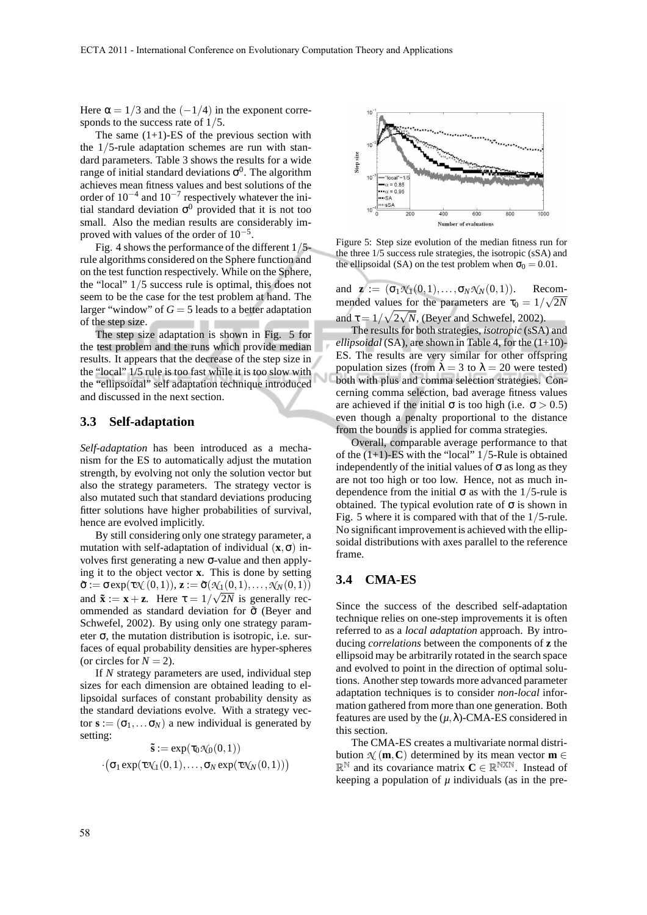Here  $\alpha = 1/3$  and the  $(-1/4)$  in the exponent corresponds to the success rate of 1/5.

The same  $(1+1)$ -ES of the previous section with the 1/5-rule adaptation schemes are run with standard parameters. Table 3 shows the results for a wide range of initial standard deviations  $\sigma^0$ . The algorithm achieves mean fitness values and best solutions of the order of  $10^{-4}$  and  $10^{-7}$  respectively whatever the initial standard deviation  $\sigma^0$  provided that it is not too small. Also the median results are considerably improved with values of the order of  $10^{-5}$ .

Fig. 4 shows the performance of the different 1/5 rule algorithms considered on the Sphere function and on the test function respectively. While on the Sphere, the "local" 1/5 success rule is optimal, this does not seem to be the case for the test problem at hand. The larger "window" of  $G = 5$  leads to a better adaptation of the step size.

The step size adaptation is shown in Fig. 5 for the test problem and the runs which provide median results. It appears that the decrease of the step size in the "local" 1/5 rule is too fast while it is too slow with the "ellipsoidal" self adaptation technique introduced and discussed in the next section.

#### **3.3 Self-adaptation**

*Self-adaptation* has been introduced as a mechanism for the ES to automatically adjust the mutation strength, by evolving not only the solution vector but also the strategy parameters. The strategy vector is also mutated such that standard deviations producing fitter solutions have higher probabilities of survival, hence are evolved implicitly.

By still considering only one strategy parameter, a mutation with self-adaptation of individual  $(\mathbf{x}, \sigma)$  involves first generating a new σ-value and then applying it to the object vector **x**. This is done by setting  $\tilde{\sigma} := \sigma \exp(\tau \mathcal{N}(0,1)),$   $\mathbf{z} := \tilde{\sigma}(\mathcal{N}(0,1),\ldots,\mathcal{N}(N(0,1)))$ and  $\tilde{\mathbf{x}} := \mathbf{x} + \mathbf{z}$ . Here  $\tau = 1/\sqrt{2N}$  is generally recommended as standard deviation for  $\tilde{\sigma}$  (Beyer and Schwefel, 2002). By using only one strategy parameter  $\sigma$ , the mutation distribution is isotropic, i.e. surfaces of equal probability densities are hyper-spheres (or circles for  $N = 2$ ).

If *N* strategy parameters are used, individual step sizes for each dimension are obtained leading to ellipsoidal surfaces of constant probability density as the standard deviations evolve. With a strategy vector  $\mathbf{s} := (\sigma_1, \dots, \sigma_N)$  a new individual is generated by setting:

$$
\begin{aligned} \mathbf{\tilde{s}} := \exp(\tau_0 \mathcal{N}_0(0,1)) \\ \cdot \big(\sigma_1 \exp(\tau \mathcal{N}_1(0,1),\ldots,\sigma_N \exp(\tau \mathcal{N}_N(0,1))\big) \end{aligned}
$$



Figure 5: Step size evolution of the median fitness run for the three 1/5 success rule strategies, the isotropic (sSA) and the ellipsoidal (SA) on the test problem when  $\sigma_0 = 0.01$ .

and  $\mathbf{z} := (\sigma_1 \mathcal{N}_1(0,1), \ldots, \sigma_N \mathcal{N}_N(0,1)).$  Recommended values for the parameters are  $\tau_0 = 1/\sqrt{2N}$ and  $\tau = 1/\sqrt{2\sqrt{N}}$ , (Beyer and Schwefel, 2002).

The results for both strategies, *isotropic* (sSA) and *ellipsoidal* (SA), are shown in Table 4, for the (1+10)- ES. The results are very similar for other offspring population sizes (from  $\lambda = 3$  to  $\lambda = 20$  were tested) both with plus and comma selection strategies. Concerning comma selection, bad average fitness values are achieved if the initial  $\sigma$  is too high (i.e.  $\sigma > 0.5$ ) even though a penalty proportional to the distance from the bounds is applied for comma strategies.

Overall, comparable average performance to that of the  $(1+1)$ -ES with the "local"  $1/5$ -Rule is obtained independently of the initial values of  $\sigma$  as long as they are not too high or too low. Hence, not as much independence from the initial  $\sigma$  as with the 1/5-rule is obtained. The typical evolution rate of  $\sigma$  is shown in Fig. 5 where it is compared with that of the 1/5-rule. No significant improvement is achieved with the ellipsoidal distributions with axes parallel to the reference frame.

#### **3.4 CMA-ES**

Since the success of the described self-adaptation technique relies on one-step improvements it is often referred to as a *local adaptation* approach. By introducing *correlations* between the components of **z** the ellipsoid may be arbitrarily rotated in the search space and evolved to point in the direction of optimal solutions. Another step towards more advanced parameter adaptation techniques is to consider *non-local* information gathered from more than one generation. Both features are used by the  $(\mu, \lambda)$ -CMA-ES considered in this section.

The CMA-ES creates a multivariate normal distribution  $\mathcal{N}(\mathbf{m}, \mathbf{C})$  determined by its mean vector  $\mathbf{m} \in \mathcal{N}$  $\mathbb{R}^{\mathbb{N}}$  and its covariance matrix  $\mathbf{C} \in \mathbb{R}^{\mathbb{N} \times \mathbb{N}}$ . Instead of keeping a population of *µ* individuals (as in the pre-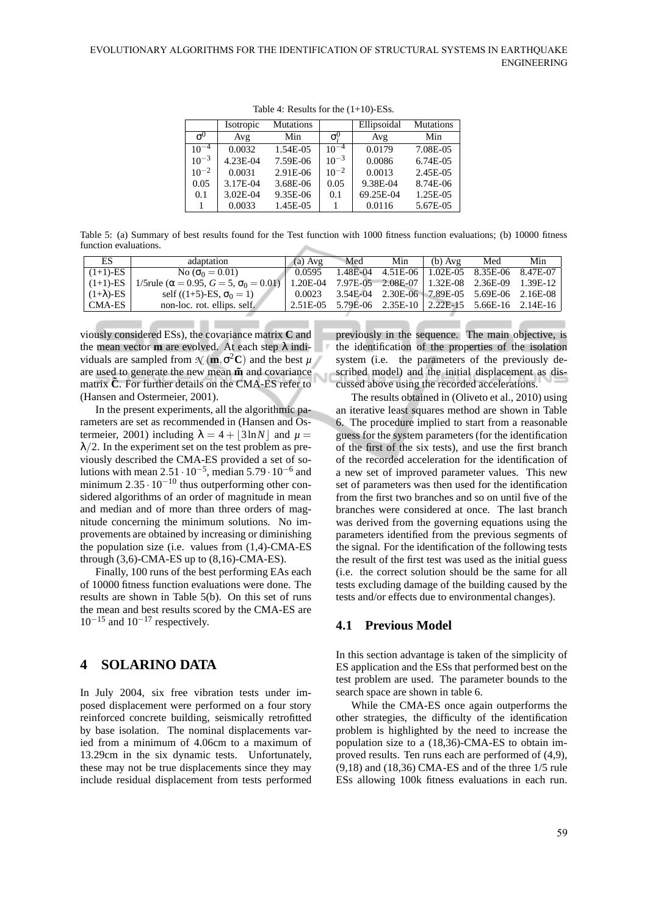|            | Isotropic | <b>Mutations</b> |                                 | Ellipsoidal | <b>Mutations</b> |
|------------|-----------|------------------|---------------------------------|-------------|------------------|
| $\sigma^0$ | Avg       | Min              | $\sigma_{\tilde{\mathfrak{c}}}$ | Avg         | Min              |
| $10^{-4}$  | 0.0032    | 1.54E-05         | $10^{-4}$                       | 0.0179      | 7.08E-05         |
| $10^{-3}$  | 4.23E-04  | 7.59E-06         | $10^{-3}$                       | 0.0086      | 6.74E-05         |
| $10^{-2}$  | 0.0031    | 2.91E-06         | $10^{-2}$                       | 0.0013      | 2.45E-05         |
| 0.05       | 3.17E-04  | 3.68E-06         | 0.05                            | 9.38E-04    | 8.74E-06         |
| 0.1        | 3.02E-04  | 9.35E-06         | 0.1                             | 69.25E-04   | 1.25E-05         |
|            | 0.0033    | 1.45E-05         |                                 | 0.0116      | 5.67E-05         |

Table 4: Results for the (1+10)-ESs.

Table 5: (a) Summary of best results found for the Test function with 1000 fitness function evaluations; (b) 10000 fitness function evaluations.

| ES                | adaptation                                                 | $(a)$ Avg | Med                                                     | Min                                          | $(b)$ Avg | Med | Min |
|-------------------|------------------------------------------------------------|-----------|---------------------------------------------------------|----------------------------------------------|-----------|-----|-----|
| $(1+1)$ -ES       | No $(\sigma_0 = 0.01)$                                     | 0.0595    |                                                         | 1.48E-04 4.51E-06 1.02E-05 8.35E-06 8.47E-07 |           |     |     |
| $(1+1)$ -ES       | 1/5 rule ( $\alpha = 0.95$ , $G = 5$ , $\sigma_0 = 0.01$ ) |           | 1.20E-04 7.97E-05 2.08E-07   1.32E-08 2.36E-09 1.39E-12 |                                              |           |     |     |
| $(1+\lambda)$ -ES | self $((1+5)$ -ES, $\sigma_0 = 1$ )                        | 0.0023    | 3.54E-04 2.30E-06 7.89E-05 5.69E-06 2.16E-08            |                                              |           |     |     |
| CMA-ES I          | non-loc. rot. ellips. self.                                |           | 2.51E-05 5.79E-06 2.35E-10   2.22E-15 5.66E-16 2.14E-16 |                                              |           |     |     |

viously considered ESs), the covariance matrix **C** and the mean vector **m** are evolved. At each step  $\lambda$  individuals are sampled from  $\mathcal{N}(\mathbf{m}, \sigma^2 \mathbf{C})$  and the best  $\mu$ are used to generate the new mean  $\tilde{m}$  and covariance Ñ matrix  $\tilde{C}$ . For further details on the CMA-ES refer to (Hansen and Ostermeier, 2001).

In the present experiments, all the algorithmic parameters are set as recommended in (Hansen and Ostermeier, 2001) including  $\lambda = 4 + |3 \ln N|$  and  $\mu =$  $\lambda/2$ . In the experiment set on the test problem as previously described the CMA-ES provided a set of solutions with mean  $2.51 \cdot 10^{-5}$ , median  $5.79 \cdot 10^{-6}$  and minimum  $2.35 \cdot 10^{-10}$  thus outperforming other considered algorithms of an order of magnitude in mean and median and of more than three orders of magnitude concerning the minimum solutions. No improvements are obtained by increasing or diminishing the population size (i.e. values from (1,4)-CMA-ES through  $(3,6)$ -CMA-ES up to  $(8,16)$ -CMA-ES).

Finally, 100 runs of the best performing EAs each of 10000 fitness function evaluations were done. The results are shown in Table 5(b). On this set of runs the mean and best results scored by the CMA-ES are  $10^{-15}$  and  $10^{-17}$  respectively.

## **4 SOLARINO DATA**

In July 2004, six free vibration tests under imposed displacement were performed on a four story reinforced concrete building, seismically retrofitted by base isolation. The nominal displacements varied from a minimum of 4.06cm to a maximum of 13.29cm in the six dynamic tests. Unfortunately, these may not be true displacements since they may include residual displacement from tests performed

previously in the sequence. The main objective, is the identification of the properties of the isolation system (i.e. the parameters of the previously described model) and the initial displacement as discussed above using the recorded accelerations.

The results obtained in (Oliveto et al., 2010) using an iterative least squares method are shown in Table 6. The procedure implied to start from a reasonable guess for the system parameters (for the identification of the first of the six tests), and use the first branch of the recorded acceleration for the identification of a new set of improved parameter values. This new set of parameters was then used for the identification from the first two branches and so on until five of the branches were considered at once. The last branch was derived from the governing equations using the parameters identified from the previous segments of the signal. For the identification of the following tests the result of the first test was used as the initial guess (i.e. the correct solution should be the same for all tests excluding damage of the building caused by the tests and/or effects due to environmental changes).

## **4.1 Previous Model**

In this section advantage is taken of the simplicity of ES application and the ESs that performed best on the test problem are used. The parameter bounds to the search space are shown in table 6.

While the CMA-ES once again outperforms the other strategies, the difficulty of the identification problem is highlighted by the need to increase the population size to a (18,36)-CMA-ES to obtain improved results. Ten runs each are performed of (4,9), (9,18) and (18,36) CMA-ES and of the three 1/5 rule ESs allowing 100k fitness evaluations in each run.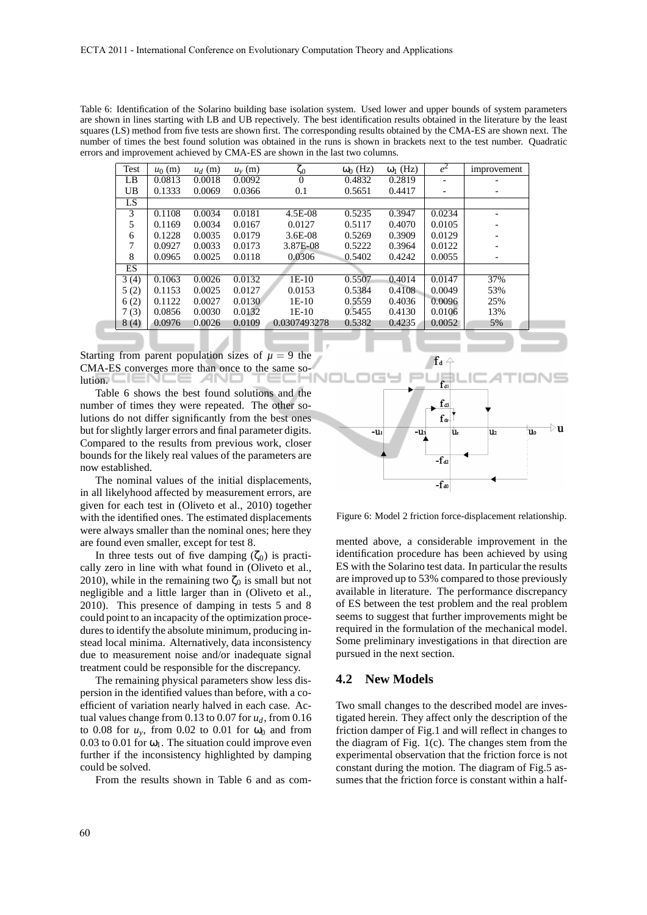Table 6: Identification of the Solarino building base isolation system. Used lower and upper bounds of system parameters are shown in lines starting with LB and UB repectively. The best identification results obtained in the literature by the least squares (LS) method from five tests are shown first. The corresponding results obtained by the CMA-ES are shown next. The number of times the best found solution was obtained in the runs is shown in brackets next to the test number. Quadratic errors and improvement achieved by CMA-ES are shown in the last two columns.

| Test | $u_0$ (m) | $u_d$ (m) | $u_{\rm v}$ (m) | ς0           | $\omega_0$ (Hz) | $\omega_1$ (Hz) | $e^2$                    | improvement              |
|------|-----------|-----------|-----------------|--------------|-----------------|-----------------|--------------------------|--------------------------|
| LB   | 0.0813    | 0.0018    | 0.0092          | $\theta$     | 0.4832          | 0.2819          |                          |                          |
| UB   | 0.1333    | 0.0069    | 0.0366          | 0.1          | 0.5651          | 0.4417          | $\overline{\phantom{a}}$ | $\overline{\phantom{0}}$ |
| LS   |           |           |                 |              |                 |                 |                          |                          |
| 3    | 0.1108    | 0.0034    | 0.0181          | 4.5E-08      | 0.5235          | 0.3947          | 0.0234                   |                          |
| 5    | 0.1169    | 0.0034    | 0.0167          | 0.0127       | 0.5117          | 0.4070          | 0.0105                   |                          |
| 6    | 0.1228    | 0.0035    | 0.0179          | $3.6E-08$    | 0.5269          | 0.3909          | 0.0129                   |                          |
| 7    | 0.0927    | 0.0033    | 0.0173          | 3.87E-08     | 0.5222          | 0.3964          | 0.0122                   |                          |
| 8    | 0.0965    | 0.0025    | 0.0118          | 0.0306       | 0.5402          | 0.4242          | 0.0055                   |                          |
| ES   |           |           |                 |              |                 |                 |                          |                          |
| 3(4) | 0.1063    | 0.0026    | 0.0132          | $1E-10$      | 0.5507          | 0.4014          | 0.0147                   | 37%                      |
| 5(2) | 0.1153    | 0.0025    | 0.0127          | 0.0153       | 0.5384          | 0.4108          | 0.0049                   | 53%                      |
| 6(2) | 0.1122    | 0.0027    | 0.0130          | $1E-10$      | 0.5559          | 0.4036          | 0.0096                   | 25%                      |
| 7(3) | 0.0856    | 0.0030    | 0.0132          | $1E-10$      | 0.5455          | 0.4130          | 0.0106                   | 13%                      |
| 8(4) | 0.0976    | 0.0026    | 0.0109          | 0.0307493278 | 0.5382          | 0.4235          | 0.0052                   | 5%                       |

Starting from parent population sizes of  $\mu = 9$  the CMA-ES converges more than once to the same solution.

Table 6 shows the best found solutions and the number of times they were repeated. The other solutions do not differ significantly from the best ones but for slightly larger errors and final parameter digits. Compared to the results from previous work, closer bounds for the likely real values of the parameters are now established.

The nominal values of the initial displacements, in all likelyhood affected by measurement errors, are given for each test in (Oliveto et al., 2010) together with the identified ones. The estimated displacements were always smaller than the nominal ones; here they are found even smaller, except for test 8.

In three tests out of five damping  $(\zeta_0)$  is practically zero in line with what found in (Oliveto et al., 2010), while in the remaining two  $\zeta_0$  is small but not negligible and a little larger than in (Oliveto et al., 2010). This presence of damping in tests 5 and 8 could point to an incapacity of the optimization procedures to identify the absolute minimum, producing instead local minima. Alternatively, data inconsistency due to measurement noise and/or inadequate signal treatment could be responsible for the discrepancy.

The remaining physical parameters show less dispersion in the identified values than before, with a coefficient of variation nearly halved in each case. Actual values change from 0.13 to 0.07 for *ud*, from 0.16 to 0.08 for  $u_y$ , from 0.02 to 0.01 for  $\omega_0$  and from 0.03 to 0.01 for  $\omega_1$ . The situation could improve even further if the inconsistency highlighted by damping could be solved.

From the results shown in Table 6 and as com-



Figure 6: Model 2 friction force-displacement relationship.

mented above, a considerable improvement in the identification procedure has been achieved by using ES with the Solarino test data. In particular the results are improved up to 53% compared to those previously available in literature. The performance discrepancy of ES between the test problem and the real problem seems to suggest that further improvements might be required in the formulation of the mechanical model. Some preliminary investigations in that direction are pursued in the next section.

#### **4.2 New Models**

Two small changes to the described model are investigated herein. They affect only the description of the friction damper of Fig.1 and will reflect in changes to the diagram of Fig. 1(c). The changes stem from the experimental observation that the friction force is not constant during the motion. The diagram of Fig.5 assumes that the friction force is constant within a half-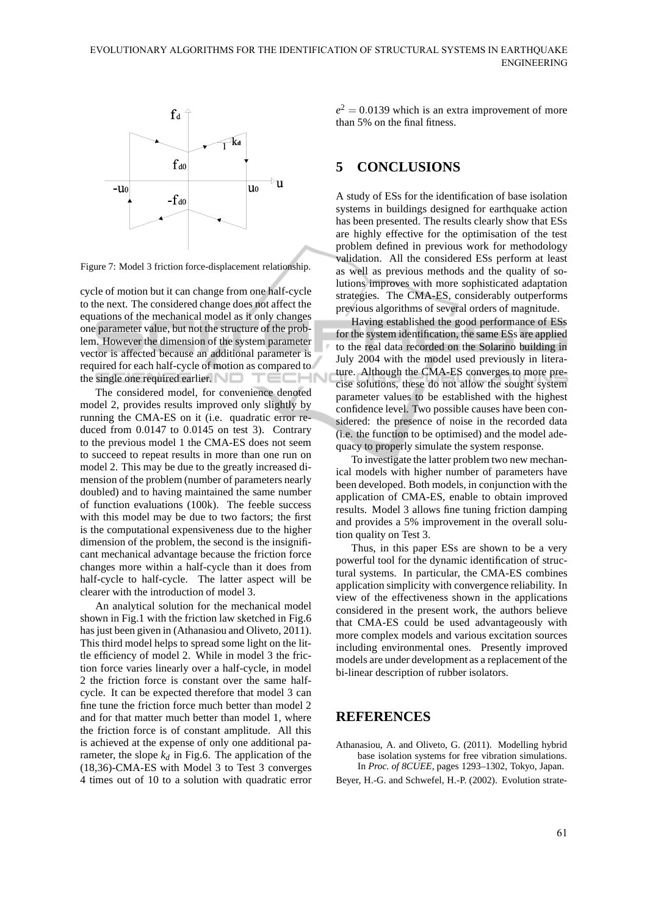

Figure 7: Model 3 friction force-displacement relationship.

cycle of motion but it can change from one half-cycle to the next. The considered change does not affect the equations of the mechanical model as it only changes one parameter value, but not the structure of the problem. However the dimension of the system parameter vector is affected because an additional parameter is required for each half-cycle of motion as compared to the single one required earlier.

The considered model, for convenience denoted model 2, provides results improved only slightly by running the CMA-ES on it (i.e. quadratic error reduced from 0.0147 to 0.0145 on test 3). Contrary to the previous model 1 the CMA-ES does not seem to succeed to repeat results in more than one run on model 2. This may be due to the greatly increased dimension of the problem (number of parameters nearly doubled) and to having maintained the same number of function evaluations (100k). The feeble success with this model may be due to two factors; the first is the computational expensiveness due to the higher dimension of the problem, the second is the insignificant mechanical advantage because the friction force changes more within a half-cycle than it does from half-cycle to half-cycle. The latter aspect will be clearer with the introduction of model 3.

An analytical solution for the mechanical model shown in Fig.1 with the friction law sketched in Fig.6 has just been given in (Athanasiou and Oliveto, 2011). This third model helps to spread some light on the little efficiency of model 2. While in model 3 the friction force varies linearly over a half-cycle, in model 2 the friction force is constant over the same halfcycle. It can be expected therefore that model 3 can fine tune the friction force much better than model 2 and for that matter much better than model 1, where the friction force is of constant amplitude. All this is achieved at the expense of only one additional parameter, the slope  $k_d$  in Fig.6. The application of the (18,36)-CMA-ES with Model 3 to Test 3 converges 4 times out of 10 to a solution with quadratic error

 $e^2 = 0.0139$  which is an extra improvement of more than 5% on the final fitness.

## **5 CONCLUSIONS**

A study of ESs for the identification of base isolation systems in buildings designed for earthquake action has been presented. The results clearly show that ESs are highly effective for the optimisation of the test problem defined in previous work for methodology validation. All the considered ESs perform at least as well as previous methods and the quality of solutions improves with more sophisticated adaptation strategies. The CMA-ES, considerably outperforms previous algorithms of several orders of magnitude.

Having established the good performance of ESs for the system identification, the same ESs are applied to the real data recorded on the Solarino building in July 2004 with the model used previously in literature. Although the CMA-ES converges to more precise solutions, these do not allow the sought system parameter values to be established with the highest confidence level. Two possible causes have been considered: the presence of noise in the recorded data (i.e. the function to be optimised) and the model adequacy to properly simulate the system response.

To investigate the latter problem two new mechanical models with higher number of parameters have been developed. Both models, in conjunction with the application of CMA-ES, enable to obtain improved results. Model 3 allows fine tuning friction damping and provides a 5% improvement in the overall solution quality on Test 3.

Thus, in this paper ESs are shown to be a very powerful tool for the dynamic identification of structural systems. In particular, the CMA-ES combines application simplicity with convergence reliability. In view of the effectiveness shown in the applications considered in the present work, the authors believe that CMA-ES could be used advantageously with more complex models and various excitation sources including environmental ones. Presently improved models are under development as a replacement of the bi-linear description of rubber isolators.

## **REFERENCES**

Athanasiou, A. and Oliveto, G. (2011). Modelling hybrid base isolation systems for free vibration simulations. In *Proc. of 8CUEE*, pages 1293–1302, Tokyo, Japan. Beyer, H.-G. and Schwefel, H.-P. (2002). Evolution strate